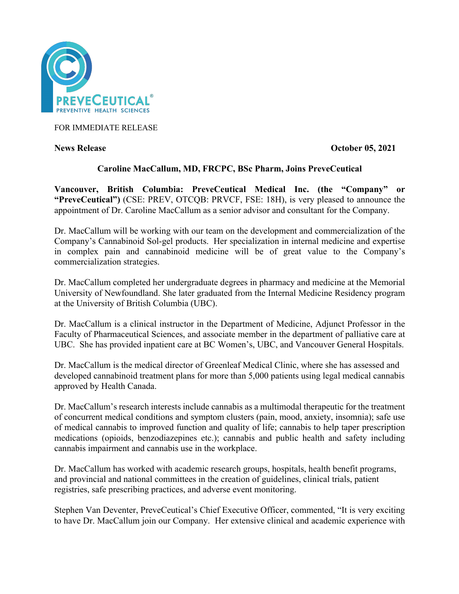

FOR IMMEDIATE RELEASE

**News Release Contract Contract Contract Contract Contract Contract Contract Contract Contract Contract Contract Contract Contract Contract Contract Contract Contract Contract Contract Contract Contract Contract Contract C** 

# **Caroline MacCallum, MD, FRCPC, BSc Pharm, Joins PreveCeutical**

**Vancouver, British Columbia: PreveCeutical Medical Inc. (the "Company" or "PreveCeutical")** (CSE: PREV, OTCQB: PRVCF, FSE: 18H), is very pleased to announce the appointment of Dr. Caroline MacCallum as a senior advisor and consultant for the Company.

Dr. MacCallum will be working with our team on the development and commercialization of the Company's Cannabinoid Sol-gel products. Her specialization in internal medicine and expertise in complex pain and cannabinoid medicine will be of great value to the Company's commercialization strategies.

Dr. MacCallum completed her undergraduate degrees in pharmacy and medicine at the Memorial University of Newfoundland. She later graduated from the Internal Medicine Residency program at the University of British Columbia (UBC).

Dr. MacCallum is a clinical instructor in the Department of Medicine, Adjunct Professor in the Faculty of Pharmaceutical Sciences, and associate member in the department of palliative care at UBC. She has provided inpatient care at BC Women's, UBC, and Vancouver General Hospitals.

Dr. MacCallum is the medical director of Greenleaf Medical Clinic, where she has assessed and developed cannabinoid treatment plans for more than 5,000 patients using legal medical cannabis approved by Health Canada.

Dr. MacCallum's research interests include cannabis as a multimodal therapeutic for the treatment of concurrent medical conditions and symptom clusters (pain, mood, anxiety, insomnia); safe use of medical cannabis to improved function and quality of life; cannabis to help taper prescription medications (opioids, benzodiazepines etc.); cannabis and public health and safety including cannabis impairment and cannabis use in the workplace.

Dr. MacCallum has worked with academic research groups, hospitals, health benefit programs, and provincial and national committees in the creation of guidelines, clinical trials, patient registries, safe prescribing practices, and adverse event monitoring.

Stephen Van Deventer, PreveCeutical's Chief Executive Officer, commented, "It is very exciting to have Dr. MacCallum join our Company. Her extensive clinical and academic experience with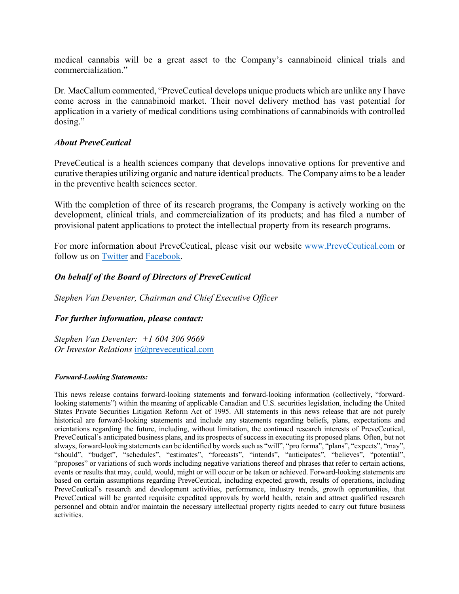medical cannabis will be a great asset to the Company's cannabinoid clinical trials and commercialization."

Dr. MacCallum commented, "PreveCeutical develops unique products which are unlike any I have come across in the cannabinoid market. Their novel delivery method has vast potential for application in a variety of medical conditions using combinations of cannabinoids with controlled dosing."

## *About PreveCeutical*

PreveCeutical is a health sciences company that develops innovative options for preventive and curative therapies utilizing organic and nature identical products. The Company aims to be a leader in the preventive health sciences sector.

With the completion of three of its research programs, the Company is actively working on the development, clinical trials, and commercialization of its products; and has filed a number of provisional patent applications to protect the intellectual property from its research programs.

For more information about PreveCeutical, please visit our website www.PreveCeutical.com or follow us on Twitter and Facebook.

# *On behalf of the Board of Directors of PreveCeutical*

*Stephen Van Deventer, Chairman and Chief Executive Officer*

## *For further information, please contact:*

*Stephen Van Deventer: +1 604 306 9669 Or Investor Relations* ir@preveceutical.com

### *Forward-Looking Statements:*

This news release contains forward-looking statements and forward-looking information (collectively, "forwardlooking statements") within the meaning of applicable Canadian and U.S. securities legislation, including the United States Private Securities Litigation Reform Act of 1995. All statements in this news release that are not purely historical are forward-looking statements and include any statements regarding beliefs, plans, expectations and orientations regarding the future, including, without limitation, the continued research interests of PreveCeutical, PreveCeutical's anticipated business plans, and its prospects of success in executing its proposed plans. Often, but not always, forward-looking statements can be identified by words such as "will", "pro forma", "plans", "expects", "may", "should", "budget", "schedules", "estimates", "forecasts", "intends", "anticipates", "believes", "potential", "proposes" or variations of such words including negative variations thereof and phrases that refer to certain actions, events or results that may, could, would, might or will occur or be taken or achieved. Forward-looking statements are based on certain assumptions regarding PreveCeutical, including expected growth, results of operations, including PreveCeutical's research and development activities, performance, industry trends, growth opportunities, that PreveCeutical will be granted requisite expedited approvals by world health, retain and attract qualified research personnel and obtain and/or maintain the necessary intellectual property rights needed to carry out future business activities.